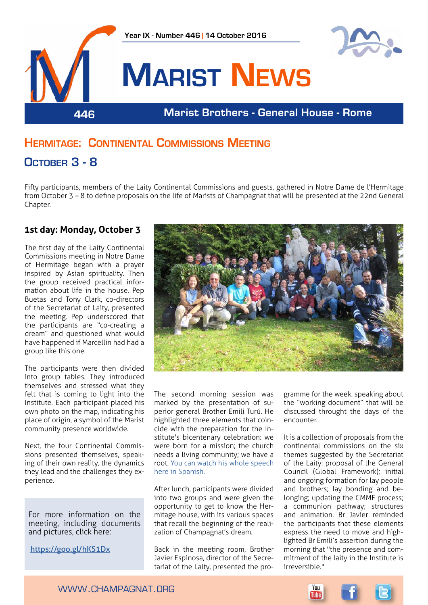

# **Hermitage: Continental Commissions Meeting**

# **October 3 - 8**

Fifty participants, members of the Laity Continental Commissions and guests, gathered in Notre Dame de l'Hermitage from October 3 – 8 to define proposals on the life of Marists of Champagnat that will be presented at the 22nd General Chapter.

### **1st day: Monday, October 3**

The first day of the Laity Continental Commissions meeting in Notre Dame of Hermitage began with a prayer inspired by Asian spirituality. Then the group received practical information about life in the house. Pep Buetas and Tony Clark, co-directors of the Secretariat of Laity, presented the meeting. Pep underscored that the participants are "co-creating a dream" and questioned what would have happened if Marcellin had had a group like this one.

The participants were then divided into group tables. They introduced themselves and stressed what they felt that is coming to light into the Institute. Each participant placed his own photo on the map, indicating his place of origin, a symbol of the Marist community presence worldwide.

Next, the four Continental Commissions presented themselves, speaking of their own reality, the dynamics they lead and the challenges they experience.

For more information on the meeting, including documents and pictures, click here:

<https://goo.gl/hKS1Dx>



The second morning session was marked by the presentation of superior general Brother Emili Turú. He highlighted three elements that coincide with the preparation for the Institute's bicentenary celebration: we were born for a mission; the church needs a living community; we have a root. [You can watch his whole speech](https://www.youtube.com/watch?v=aUp9-j3IMeI&feature=youtu.be)  [here in Spanish.](https://www.youtube.com/watch?v=aUp9-j3IMeI&feature=youtu.be)

After lunch, participants were divided into two groups and were given the opportunity to get to know the Hermitage house, with its various spaces that recall the beginning of the realization of Champagnat's dream.

Back in the meeting room, Brother Javier Espinosa, director of the Secretariat of the Laity, presented the programme for the week, speaking about the "working document" that will be discussed throught the days of the encounter.

It is a collection of proposals from the continental commissions on the six themes suggested by the Secretariat of the Laity: proposal of the General Council (Global Framework); initial and ongoing formation for lay people and brothers; lay bonding and belonging; updating the CMMF process; a communion pathway; structures and animation. Br Javier reminded the participants that these elements express the need to move and highlighted Br Emili's assertion during the morning that "the presence and commitment of the laity in the Institute is irreversible."



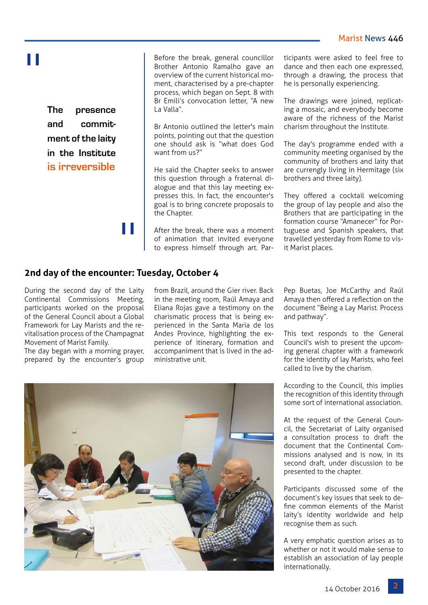# "

**The presence and commitment of the laity in the Institute is irreversible**

"

Before the break, general councillor Brother Antonio Ramalho gave an overview of the current historical moment, characterised by a pre-chapter process, which began on Sept. 8 with Br Emili's convocation letter, "A new La Valla".

Br Antonio outlined the letter's main points, pointing out that the question one should ask is "what does God want from us?"

He said the Chapter seeks to answer this question through a fraternal dialogue and that this lay meeting expresses this. In fact, the encounter's goal is to bring concrete proposals to the Chapter.

After the break, there was a moment of animation that invited everyone to express himself through art. Participants were asked to feel free to dance and then each one expressed, through a drawing, the process that he is personally experiencing.

The drawings were joined, replicating a mosaic, and everybody become aware of the richness of the Marist charism throughout the Institute.

The day's programme ended with a community meeting organised by the community of brothers and laity that are currengly living in Hermitage (six brothers and three laity).

They offered a cocktail welcoming the group of lay people and also the Brothers that are participating in the formation course "Amanecer" for Portuguese and Spanish speakers, that travelled yesterday from Rome to visit Marist places.

## **2nd day of the encounter: Tuesday, October 4**

During the second day of the Laity Continental Commissions Meeting, participants worked on the proposal of the General Council about a Global Framework for Lay Marists and the revitalisation process of the Champagnat Movement of Marist Family.

The day began with a morning prayer. prepared by the encounter's group

from Brazil, around the Gier river. Back in the meeting room, Raúl Amaya and Eliana Rojas gave a testimony on the charismatic process that is being experienced in the Santa Maria de los Andes Province, highlighting the experience of itinerary, formation and accompaniment that is lived in the administrative unit.

Pep Buetas, Joe McCarthy and Raúl Amaya then offered a reflection on the document "Being a Lay Marist. Process and pathway".

This text responds to the General Council's wish to present the upcoming general chapter with a framework for the identity of lay Marists, who feel called to live by the charism.

According to the Council, this implies the recognition of this identity through some sort of international association.

At the request of the General Council, the Secretariat of Laity organised a consultation process to draft the document that the Continental Commissions analysed and is now, in its second draft, under discussion to be presented to the chapter.

Participants discussed some of the document's key issues that seek to define common elements of the Marist laity's identity worldwide and help recognise them as such.

A very emphatic question arises as to whether or not it would make sense to establish an association of lay people internationally.

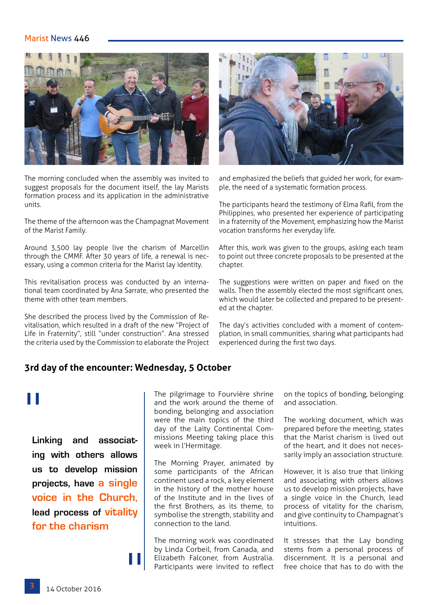### Marist News 446



The morning concluded when the assembly was invited to suggest proposals for the document itself, the lay Marists formation process and its application in the administrative units.

The theme of the afternoon was the Champagnat Movement of the Marist Family.

Around 3,500 lay people live the charism of Marcellin through the CMMF. After 30 years of life, a renewal is necessary, using a common criteria for the Marist lay identity.

This revitalisation process was conducted by an international team coordinated by Ana Sarrate, who presented the theme with other team members.

She described the process lived by the Commission of Revitalisation, which resulted in a draft of the new "Project of Life in Fraternity", still "under construction". Ana stressed the criteria used by the Commission to elaborate the Project



and emphasized the beliefs that guided her work, for example, the need of a systematic formation process.

The participants heard the testimony of Elma Rafil, from the Philippines, who presented her experience of participating in a fraternity of the Movement, emphasizing how the Marist vocation transforms her everyday life.

After this, work was given to the groups, asking each team to point out three concrete proposals to be presented at the chapter.

The suggestions were written on paper and fixed on the walls. Then the assembly elected the most significant ones, which would later be collected and prepared to be presented at the chapter.

The day's activities concluded with a moment of contemplation, in small communities, sharing what participants had experienced during the first two days.

## **3rd day of the encounter: Wednesday, 5 October**

"

# "

**Linking and associating with others allows us to develop mission projects, have a single voice in the Church, lead process of vitality for the charism**

The pilgrimage to Fourvière shrine and the work around the theme of bonding, belonging and association were the main topics of the third day of the Laity Continental Commissions Meeting taking place this week in l'Hermitage.

The Morning Prayer, animated by some participants of the African continent used a rock, a key element in the history of the mother house of the Institute and in the lives of the first Brothers, as its theme, to symbolise the strength, stability and connection to the land.

The morning work was coordinated by Linda Corbeil, from Canada, and Elizabeth Falconer, from Australia. Participants were invited to reflect

on the topics of bonding, belonging and association.

The working document, which was prepared before the meeting, states that the Marist charism is lived out of the heart, and it does not necessarily imply an association structure.

However, it is also true that linking and associating with others allows us to develop mission projects, have a single voice in the Church, lead process of vitality for the charism, and give continuity to Champagnat's intuitions.

It stresses that the Lay bonding stems from a personal process of discernment. It is a personal and free choice that has to do with the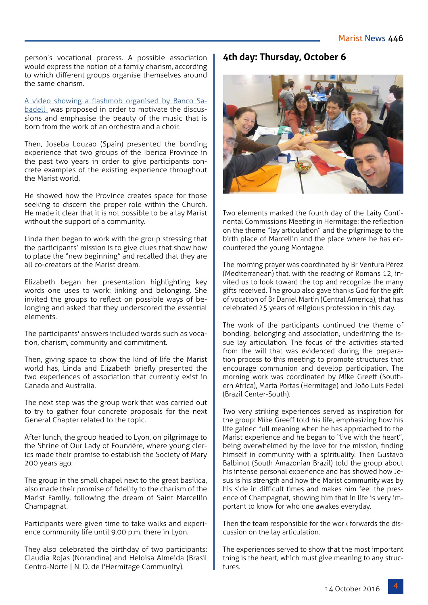person's vocational process. A possible association would express the notion of a family charism, according to which different groups organise themselves around the same charism.

#### [A video showing a flashmob organised by Banco Sa](https://www.youtube.com/watch?v=GBaHPND2QJg&feature=youtu.be)-

[badell](https://www.youtube.com/watch?v=GBaHPND2QJg&feature=youtu.be) was proposed in order to motivate the discussions and emphasise the beauty of the music that is born from the work of an orchestra and a choir.

Then, Joseba Louzao (Spain) presented the bonding experience that two groups of the Iberica Province in the past two years in order to give participants concrete examples of the existing experience throughout the Marist world.

He showed how the Province creates space for those seeking to discern the proper role within the Church. He made it clear that it is not possible to be a lay Marist without the support of a community.

Linda then began to work with the group stressing that the participants' mission is to give clues that show how to place the "new beginning" and recalled that they are all co-creators of the Marist dream.

Elizabeth began her presentation highlighting key words one uses to work: linking and belonging. She invited the groups to reflect on possible ways of belonging and asked that they underscored the essential elements.

The participants' answers included words such as vocation, charism, community and commitment.

Then, giving space to show the kind of life the Marist world has, Linda and Elizabeth briefly presented the two experiences of association that currently exist in Canada and Australia.

The next step was the group work that was carried out to try to gather four concrete proposals for the next General Chapter related to the topic.

After lunch, the group headed to Lyon, on pilgrimage to the Shrine of Our Lady of Fourvière, where young clerics made their promise to establish the Society of Mary 200 years ago.

The group in the small chapel next to the great basilica, also made their promise of fidelity to the charism of the Marist Family, following the dream of Saint Marcellin Champagnat.

Participants were given time to take walks and experience community life until 9.00 p.m. there in Lyon.

They also celebrated the birthday of two participants: Claudia Rojas (Norandina) and Heloisa Almeida (Brasil Centro-Norte | N. D. de l'Hermitage Community).

#### **4th day: Thursday, October 6**



Two elements marked the fourth day of the Laity Continental Commissions Meeting in Hermitage: the reflection on the theme "lay articulation" and the pilgrimage to the birth place of Marcellin and the place where he has encountered the young Montagne.

The morning prayer was coordinated by Br Ventura Pérez (Mediterranean) that, with the reading of Romans 12, invited us to look toward the top and recognize the many gifts received. The group also gave thanks God for the gift of vocation of Br Daniel Martin (Central America), that has celebrated 25 years of religious profession in this day.

The work of the participants continued the theme of bonding, belonging and association, underlining the issue lay articulation. The focus of the activities started from the will that was evidenced during the preparation process to this meeting: to promote structures that encourage communion and develop participation. The morning work was coordinated by Mike Greeff (Southern Africa), Marta Portas (Hermitage) and João Luis Fedel (Brazil Center-South).

Two very striking experiences served as inspiration for the group: Mike Greeff told his life, emphasizing how his life gained full meaning when he has approached to the Marist experience and he began to "live with the heart", being overwhelmed by the love for the mission, finding himself in community with a spirituality. Then Gustavo Balbinot (South Amazonian Brazil) told the group about his intense personal experience and has showed how Jesus is his strength and how the Marist community was by his side in difficult times and makes him feel the presence of Champagnat, showing him that in life is very important to know for who one awakes everyday.

Then the team responsible for the work forwards the discussion on the lay articulation.

The experiences served to show that the most important thing is the heart, which must give meaning to any structures.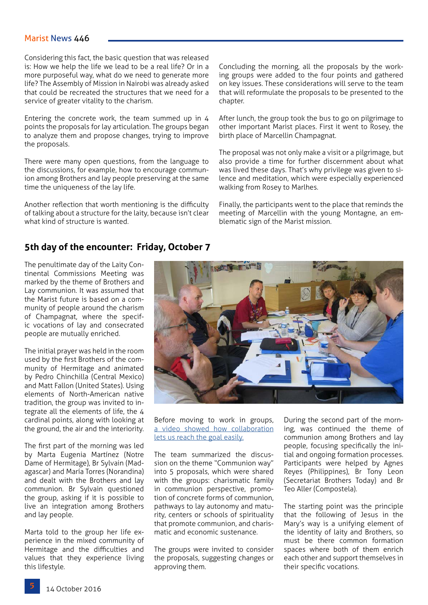#### Marist News 446

Considering this fact, the basic question that was released is: How we help the life we lead to be a real life? Or in a more purposeful way, what do we need to generate more life? The Assembly of Mission in Nairobi was already asked that could be recreated the structures that we need for a service of greater vitality to the charism.

Entering the concrete work, the team summed up in 4 points the proposals for lay articulation. The groups began to analyze them and propose changes, trying to improve the proposals.

There were many open questions, from the language to the discussions, for example, how to encourage communion among Brothers and lay people preserving at the same time the uniqueness of the lay life.

Another reflection that worth mentioning is the difficulty of talking about a structure for the laity, because isn't clear what kind of structure is wanted.

Concluding the morning, all the proposals by the working groups were added to the four points and gathered on key issues. These considerations will serve to the team that will reformulate the proposals to be presented to the chapter.

After lunch, the group took the bus to go on pilgrimage to other important Marist places. First it went to Rosey, the birth place of Marcellin Champagnat.

The proposal was not only make a visit or a pilgrimage, but also provide a time for further discernment about what was lived these days. That's why privilege was given to silence and meditation, which were especially experienced walking from Rosey to Marlhes.

Finally, the participants went to the place that reminds the meeting of Marcellin with the young Montagne, an emblematic sign of the Marist mission.

### **5th day of the encounter: Friday, October 7**

The penultimate day of the Laity Continental Commissions Meeting was marked by the theme of Brothers and Lay communion. It was assumed that the Marist future is based on a community of people around the charism of Champagnat, where the specific vocations of lay and consecrated people are mutually enriched.

The initial prayer was held in the room used by the first Brothers of the community of Hermitage and animated by Pedro Chinchilla (Central Mexico) and Matt Fallon (United States). Using elements of North-American native tradition, the group was invited to integrate all the elements of life, the 4 cardinal points, along with looking at the ground, the air and the interiority.

The first part of the morning was led by Marta Eugenia Martínez (Notre Dame of Hermitage), Br Sylvain (Madagascar) and María Torres (Norandina) and dealt with the Brothers and lay communion. Br Sylvain questioned the group, asking if it is possible to live an integration among Brothers and lay people.

Marta told to the group her life experience in the mixed community of Hermitage and the difficulties and values that they experience living this lifestyle.



Before moving to work in groups, [a video showed how collaboration](https://www.youtube.com/watch?v=_X_AfRk9F9w&feature=youtu.be)  [lets us reach the goal easily.](https://www.youtube.com/watch?v=_X_AfRk9F9w&feature=youtu.be)

The team summarized the discussion on the theme "Communion way" into 5 proposals, which were shared with the groups: charismatic family in communion perspective, promotion of concrete forms of communion, pathways to lay autonomy and maturity, centers or schools of spirituality that promote communion, and charismatic and economic sustenance.

The groups were invited to consider the proposals, suggesting changes or approving them.

During the second part of the morning, was continued the theme of communion among Brothers and lay people, focusing specifically the initial and ongoing formation processes. Participants were helped by Agnes Reyes (Philippines), Br Tony Leon (Secretariat Brothers Today) and Br Teo Aller (Compostela).

The starting point was the principle that the following of Jesus in the Mary's way is a unifying element of the identity of laity and Brothers, so must be there common formation spaces where both of them enrich each other and support themselves in their specific vocations.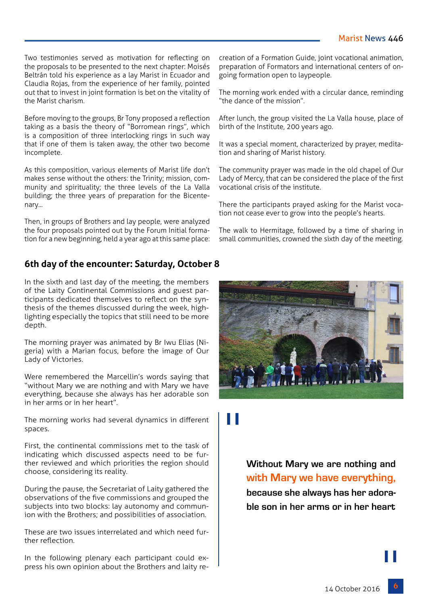Two testimonies served as motivation for reflecting on the proposals to be presented to the next chapter: Moisés Beltrán told his experience as a lay Marist in Ecuador and Claudia Rojas, from the experience of her family, pointed out that to invest in joint formation is bet on the vitality of the Marist charism.

Before moving to the groups, Br Tony proposed a reflection taking as a basis the theory of "Borromean rings", which is a composition of three interlocking rings in such way that if one of them is taken away, the other two become incomplete.

As this composition, various elements of Marist life don't makes sense without the others: the Trinity; mission, community and spirituality; the three levels of the La Valla building; the three years of preparation for the Bicentenary...

Then, in groups of Brothers and lay people, were analyzed the four proposals pointed out by the Forum Initial formation for a new beginning, held a year ago at this same place:

## **6th day of the encounter: Saturday, October 8**

In the sixth and last day of the meeting, the members of the Laity Continental Commissions and guest participants dedicated themselves to reflect on the synthesis of the themes discussed during the week, highlighting especially the topics that still need to be more depth.

The morning prayer was animated by Br Iwu Elias (Nigeria) with a Marian focus, before the image of Our Lady of Victories.

Were remembered the Marcellin's words saying that "without Mary we are nothing and with Mary we have everything, because she always has her adorable son in her arms or in her heart".

The morning works had several dynamics in different spaces.

First, the continental commissions met to the task of indicating which discussed aspects need to be further reviewed and which priorities the region should choose, considering its reality.

During the pause, the Secretariat of Laity gathered the observations of the five commissions and grouped the subjects into two blocks: lay autonomy and communion with the Brothers; and possibilities of association.

These are two issues interrelated and which need further reflection.

In the following plenary each participant could express his own opinion about the Brothers and laity recreation of a Formation Guide, joint vocational animation, preparation of Formators and international centers of ongoing formation open to laypeople.

The morning work ended with a circular dance, reminding "the dance of the mission".

After lunch, the group visited the La Valla house, place of birth of the Institute, 200 years ago.

It was a special moment, characterized by prayer, meditation and sharing of Marist history.

The community prayer was made in the old chapel of Our Lady of Mercy, that can be considered the place of the first vocational crisis of the institute.

There the participants prayed asking for the Marist vocation not cease ever to grow into the people's hearts.

The walk to Hermitage, followed by a time of sharing in small communities, crowned the sixth day of the meeting.



# "

**Without Mary we are nothing and with Mary we have everything, because she always has her adorable son in her arms or in her heart**